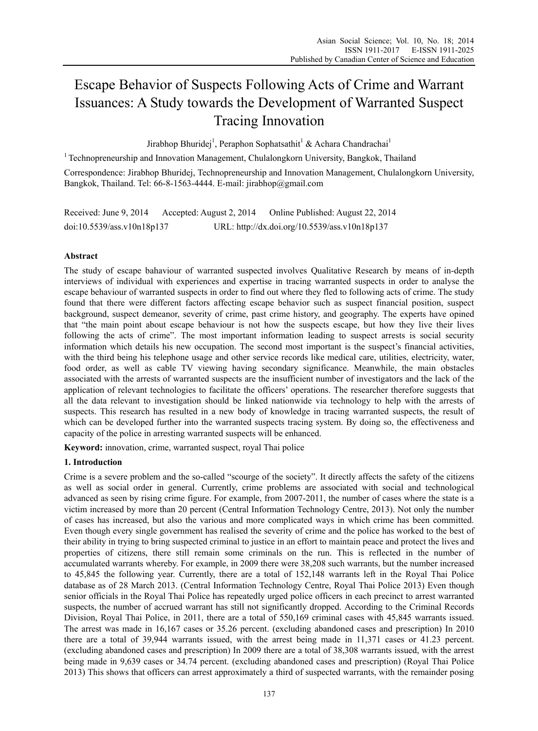# Escape Behavior of Suspects Following Acts of Crime and Warrant Issuances: A Study towards the Development of Warranted Suspect Tracing Innovation

Jirabhop Bhuridej<sup>1</sup>, Peraphon Sophatsathit<sup>1</sup> & Achara Chandrachai<sup>1</sup>

<sup>1</sup> Technopreneurship and Innovation Management, Chulalongkorn University, Bangkok, Thailand

Correspondence: Jirabhop Bhuridej, Technopreneurship and Innovation Management, Chulalongkorn University, Bangkok, Thailand. Tel: 66-8-1563-4444. E-mail: jirabhop@gmail.com

Received: June 9, 2014 Accepted: August 2, 2014 Online Published: August 22, 2014 doi:10.5539/ass.v10n18p137 URL: http://dx.doi.org/10.5539/ass.v10n18p137

# **Abstract**

The study of escape bahaviour of warranted suspected involves Qualitative Research by means of in-depth interviews of individual with experiences and expertise in tracing warranted suspects in order to analyse the escape behaviour of warranted suspects in order to find out where they fled to following acts of crime. The study found that there were different factors affecting escape behavior such as suspect financial position, suspect background, suspect demeanor, severity of crime, past crime history, and geography. The experts have opined that "the main point about escape behaviour is not how the suspects escape, but how they live their lives following the acts of crime". The most important information leading to suspect arrests is social security information which details his new occupation. The second most important is the suspect's financial activities, with the third being his telephone usage and other service records like medical care, utilities, electricity, water, food order, as well as cable TV viewing having secondary significance. Meanwhile, the main obstacles associated with the arrests of warranted suspects are the insufficient number of investigators and the lack of the application of relevant technologies to facilitate the officers' operations. The researcher therefore suggests that all the data relevant to investigation should be linked nationwide via technology to help with the arrests of suspects. This research has resulted in a new body of knowledge in tracing warranted suspects, the result of which can be developed further into the warranted suspects tracing system. By doing so, the effectiveness and capacity of the police in arresting warranted suspects will be enhanced.

**Keyword:** innovation, crime, warranted suspect, royal Thai police

# **1. Introduction**

Crime is a severe problem and the so-called "scourge of the society". It directly affects the safety of the citizens as well as social order in general. Currently, crime problems are associated with social and technological advanced as seen by rising crime figure. For example, from 2007-2011, the number of cases where the state is a victim increased by more than 20 percent (Central Information Technology Centre, 2013). Not only the number of cases has increased, but also the various and more complicated ways in which crime has been committed. Even though every single government has realised the severity of crime and the police has worked to the best of their ability in trying to bring suspected criminal to justice in an effort to maintain peace and protect the lives and properties of citizens, there still remain some criminals on the run. This is reflected in the number of accumulated warrants whereby. For example, in 2009 there were 38,208 such warrants, but the number increased to 45,845 the following year. Currently, there are a total of 152,148 warrants left in the Royal Thai Police database as of 28 March 2013. (Central Information Technology Centre, Royal Thai Police 2013) Even though senior officials in the Royal Thai Police has repeatedly urged police officers in each precinct to arrest warranted suspects, the number of accrued warrant has still not significantly dropped. According to the Criminal Records Division, Royal Thai Police, in 2011, there are a total of 550,169 criminal cases with 45,845 warrants issued. The arrest was made in 16,167 cases or 35.26 percent. (excluding abandoned cases and prescription) In 2010 there are a total of 39,944 warrants issued, with the arrest being made in 11,371 cases or 41.23 percent. (excluding abandoned cases and prescription) In 2009 there are a total of 38,308 warrants issued, with the arrest being made in 9,639 cases or 34.74 percent. (excluding abandoned cases and prescription) (Royal Thai Police 2013) This shows that officers can arrest approximately a third of suspected warrants, with the remainder posing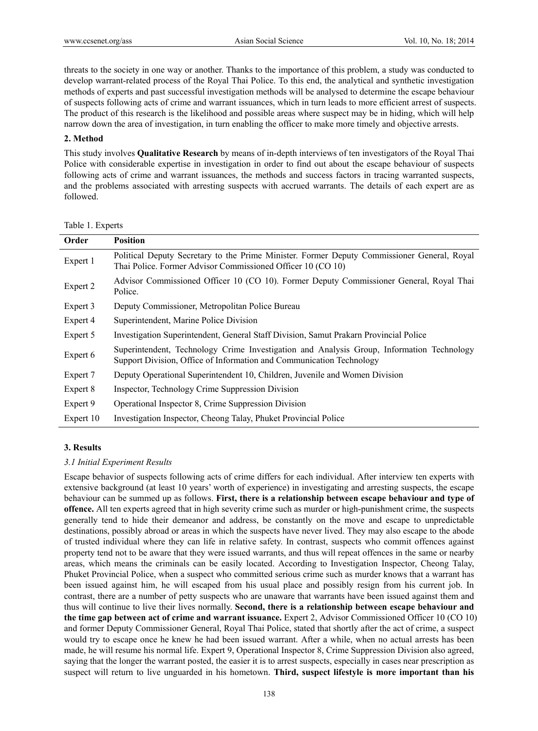threats to the society in one way or another. Thanks to the importance of this problem, a study was conducted to develop warrant-related process of the Royal Thai Police. To this end, the analytical and synthetic investigation methods of experts and past successful investigation methods will be analysed to determine the escape behaviour of suspects following acts of crime and warrant issuances, which in turn leads to more efficient arrest of suspects. The product of this research is the likelihood and possible areas where suspect may be in hiding, which will help narrow down the area of investigation, in turn enabling the officer to make more timely and objective arrests.

## **2. Method**

This study involves **Qualitative Research** by means of in-depth interviews of ten investigators of the Royal Thai Police with considerable expertise in investigation in order to find out about the escape behaviour of suspects following acts of crime and warrant issuances, the methods and success factors in tracing warranted suspects, and the problems associated with arresting suspects with accrued warrants. The details of each expert are as followed.

| Order     | <b>Position</b>                                                                                                                                                   |  |  |  |  |  |  |  |
|-----------|-------------------------------------------------------------------------------------------------------------------------------------------------------------------|--|--|--|--|--|--|--|
| Expert 1  | Political Deputy Secretary to the Prime Minister. Former Deputy Commissioner General, Royal<br>Thai Police. Former Advisor Commissioned Officer 10 (CO 10)        |  |  |  |  |  |  |  |
| Expert 2  | Advisor Commissioned Officer 10 (CO 10). Former Deputy Commissioner General, Royal Thai<br>Police.                                                                |  |  |  |  |  |  |  |
| Expert 3  | Deputy Commissioner, Metropolitan Police Bureau                                                                                                                   |  |  |  |  |  |  |  |
| Expert 4  | Superintendent, Marine Police Division                                                                                                                            |  |  |  |  |  |  |  |
| Expert 5  | Investigation Superintendent, General Staff Division, Samut Prakarn Provincial Police                                                                             |  |  |  |  |  |  |  |
| Expert 6  | Superintendent, Technology Crime Investigation and Analysis Group, Information Technology<br>Support Division, Office of Information and Communication Technology |  |  |  |  |  |  |  |
| Expert 7  | Deputy Operational Superintendent 10, Children, Juvenile and Women Division                                                                                       |  |  |  |  |  |  |  |
| Expert 8  | Inspector, Technology Crime Suppression Division                                                                                                                  |  |  |  |  |  |  |  |
| Expert 9  | Operational Inspector 8, Crime Suppression Division                                                                                                               |  |  |  |  |  |  |  |
| Expert 10 | Investigation Inspector, Cheong Talay, Phuket Provincial Police                                                                                                   |  |  |  |  |  |  |  |

#### Table 1. Experts

# **3. Results**

## *3.1 Initial Experiment Results*

Escape behavior of suspects following acts of crime differs for each individual. After interview ten experts with extensive background (at least 10 years' worth of experience) in investigating and arresting suspects, the escape behaviour can be summed up as follows. **First, there is a relationship between escape behaviour and type of offence.** All ten experts agreed that in high severity crime such as murder or high-punishment crime, the suspects generally tend to hide their demeanor and address, be constantly on the move and escape to unpredictable destinations, possibly abroad or areas in which the suspects have never lived. They may also escape to the abode of trusted individual where they can life in relative safety. In contrast, suspects who commit offences against property tend not to be aware that they were issued warrants, and thus will repeat offences in the same or nearby areas, which means the criminals can be easily located. According to Investigation Inspector, Cheong Talay, Phuket Provincial Police, when a suspect who committed serious crime such as murder knows that a warrant has been issued against him, he will escaped from his usual place and possibly resign from his current job. In contrast, there are a number of petty suspects who are unaware that warrants have been issued against them and thus will continue to live their lives normally. **Second, there is a relationship between escape behaviour and the time gap between act of crime and warrant issuance.** Expert 2, Advisor Commissioned Officer 10 (CO 10) and former Deputy Commissioner General, Royal Thai Police, stated that shortly after the act of crime, a suspect would try to escape once he knew he had been issued warrant. After a while, when no actual arrests has been made, he will resume his normal life. Expert 9, Operational Inspector 8, Crime Suppression Division also agreed, saying that the longer the warrant posted, the easier it is to arrest suspects, especially in cases near prescription as suspect will return to live unguarded in his hometown. **Third, suspect lifestyle is more important than his**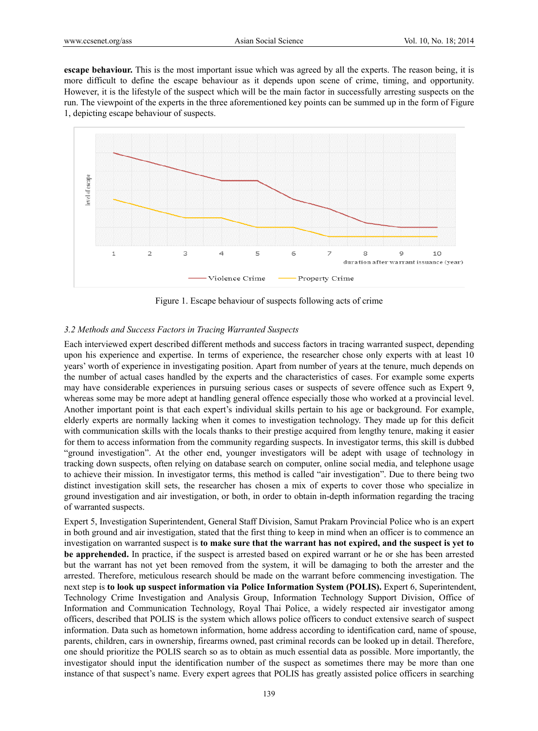**escape behaviour.** This is the most important issue which was agreed by all the experts. The reason being, it is more difficult to define the escape behaviour as it depends upon scene of crime, timing, and opportunity. However, it is the lifestyle of the suspect which will be the main factor in successfully arresting suspects on the run. The viewpoint of the experts in the three aforementioned key points can be summed up in the form of Figure 1, depicting escape behaviour of suspects.



Figure 1. Escape behaviour of suspects following acts of crime

## *3.2 Methods and Success Factors in Tracing Warranted Suspects*

Each interviewed expert described different methods and success factors in tracing warranted suspect, depending upon his experience and expertise. In terms of experience, the researcher chose only experts with at least 10 years' worth of experience in investigating position. Apart from number of years at the tenure, much depends on the number of actual cases handled by the experts and the characteristics of cases. For example some experts may have considerable experiences in pursuing serious cases or suspects of severe offence such as Expert 9, whereas some may be more adept at handling general offence especially those who worked at a provincial level. Another important point is that each expert's individual skills pertain to his age or background. For example, elderly experts are normally lacking when it comes to investigation technology. They made up for this deficit with communication skills with the locals thanks to their prestige acquired from lengthy tenure, making it easier for them to access information from the community regarding suspects. In investigator terms, this skill is dubbed "ground investigation". At the other end, younger investigators will be adept with usage of technology in tracking down suspects, often relying on database search on computer, online social media, and telephone usage to achieve their mission. In investigator terms, this method is called "air investigation". Due to there being two distinct investigation skill sets, the researcher has chosen a mix of experts to cover those who specialize in ground investigation and air investigation, or both, in order to obtain in-depth information regarding the tracing of warranted suspects.

Expert 5, Investigation Superintendent, General Staff Division, Samut Prakarn Provincial Police who is an expert in both ground and air investigation, stated that the first thing to keep in mind when an officer is to commence an investigation on warranted suspect is **to make sure that the warrant has not expired, and the suspect is yet to be apprehended.** In practice, if the suspect is arrested based on expired warrant or he or she has been arrested but the warrant has not yet been removed from the system, it will be damaging to both the arrester and the arrested. Therefore, meticulous research should be made on the warrant before commencing investigation. The next step is **to look up suspect information via Police Information System (POLIS).** Expert 6, Superintendent, Technology Crime Investigation and Analysis Group, Information Technology Support Division, Office of Information and Communication Technology, Royal Thai Police, a widely respected air investigator among officers, described that POLIS is the system which allows police officers to conduct extensive search of suspect information. Data such as hometown information, home address according to identification card, name of spouse, parents, children, cars in ownership, firearms owned, past criminal records can be looked up in detail. Therefore, one should prioritize the POLIS search so as to obtain as much essential data as possible. More importantly, the investigator should input the identification number of the suspect as sometimes there may be more than one instance of that suspect's name. Every expert agrees that POLIS has greatly assisted police officers in searching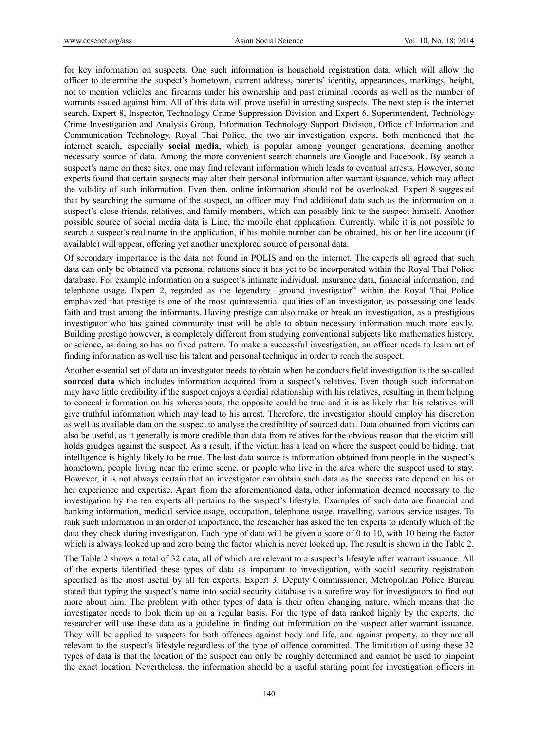for key information on suspects. One such information is household registration data, which will allow the officer to determine the suspect's hometown, current address, parents' identity, appearances, markings, height, not to mention vehicles and firearms under his ownership and past criminal records as well as the number of warrants issued against him. All of this data will prove useful in arresting suspects. The next step is the internet search. Expert 8, Inspector, Technology Crime Suppression Division and Expert 6, Superintendent, Technology Crime Investigation and Analysis Group, Information Technology Support Division, Office of Information and Communication Technology, Royal Thai Police, the two air investigation experts, both mentioned that the internet search, especially **social media**, which is popular among younger generations, deeming another necessary source of data. Among the more convenient search channels are Google and Facebook. By search a suspect's name on these sites, one may find relevant information which leads to eventual arrests. However, some experts found that certain suspects may alter their personal information after warrant issuance, which may affect the validity of such information. Even then, online information should not be overlooked. Expert 8 suggested that by searching the surname of the suspect, an officer may find additional data such as the information on a suspect's close friends, relatives, and family members, which can possibly link to the suspect himself. Another possible source of social media data is Line, the mobile chat application. Currently, while it is not possible to search a suspect's real name in the application, if his mobile number can be obtained, his or her line account (if available) will appear, offering yet another unexplored source of personal data.

Of secondary importance is the data not found in POLIS and on the internet. The experts all agreed that such data can only be obtained via personal relations since it has yet to be incorporated within the Royal Thai Police database. For example information on a suspect's intimate individual, insurance data, financial information, and telephone usage. Expert 2, regarded as the legendary "ground investigator" within the Royal Thai Police emphasized that prestige is one of the most quintessential qualities of an investigator, as possessing one leads faith and trust among the informants. Having prestige can also make or break an investigation, as a prestigious investigator who has gained community trust will be able to obtain necessary information much more easily. Building prestige however, is completely different from studying conventional subjects like mathematics history, or science, as doing so has no fixed pattern. To make a successful investigation, an officer needs to learn art of finding information as well use his talent and personal technique in order to reach the suspect.

Another essential set of data an investigator needs to obtain when he conducts field investigation is the so-called **sourced data** which includes information acquired from a suspect's relatives. Even though such information may have little credibility if the suspect enjoys a cordial relationship with his relatives, resulting in them helping to conceal information on his whereabouts, the opposite could be true and it is as likely that his relatives will give truthful information which may lead to his arrest. Therefore, the investigator should employ his discretion as well as available data on the suspect to analyse the credibility of sourced data. Data obtained from victims can also be useful, as it generally is more credible than data from relatives for the obvious reason that the victim still holds grudges against the suspect. As a result, if the victim has a lead on where the suspect could be hiding, that intelligence is highly likely to be true. The last data source is information obtained from people in the suspect's hometown, people living near the crime scene, or people who live in the area where the suspect used to stay. However, it is not always certain that an investigator can obtain such data as the success rate depend on his or her experience and expertise. Apart from the aforementioned data, other information deemed necessary to the investigation by the ten experts all pertains to the suspect's lifestyle. Examples of such data are financial and banking information, medical service usage, occupation, telephone usage, travelling, various service usages. To rank such information in an order of importance, the researcher has asked the ten experts to identify which of the data they check during investigation. Each type of data will be given a score of 0 to 10, with 10 being the factor which is always looked up and zero being the factor which is never looked up. The result is shown in the Table 2.

The Table 2 shows a total of 32 data, all of which are relevant to a suspect's lifestyle after warrant issuance. All of the experts identified these types of data as important to investigation, with social security registration specified as the most useful by all ten experts. Expert 3, Deputy Commissioner, Metropolitan Police Bureau stated that typing the suspect's name into social security database is a surefire way for investigators to find out more about him. The problem with other types of data is their often changing nature, which means that the investigator needs to look them up on a regular basis. For the type of data ranked highly by the experts, the researcher will use these data as a guideline in finding out information on the suspect after warrant issuance. They will be applied to suspects for both offences against body and life, and against property, as they are all relevant to the suspect's lifestyle regardless of the type of offence committed. The limitation of using these 32 types of data is that the location of the suspect can only be roughly determined and cannot be used to pinpoint the exact location. Nevertheless, the information should be a useful starting point for investigation officers in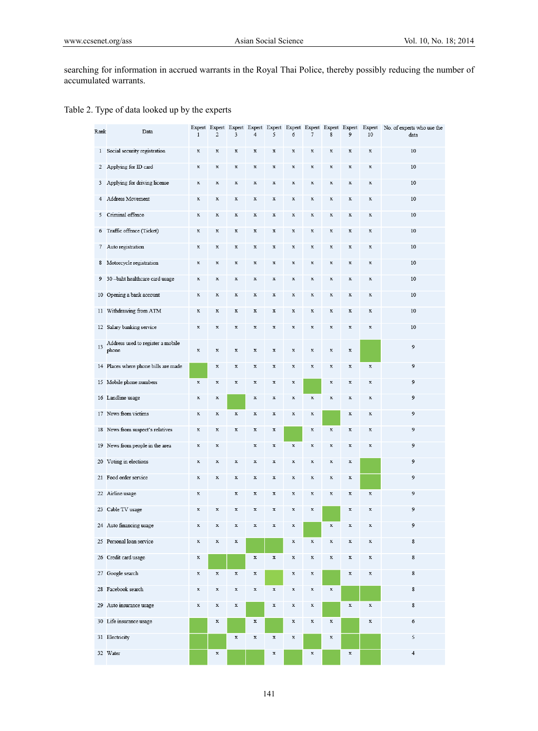searching for information in accrued warrants in the Royal Thai Police, thereby possibly reducing the number of accumulated warrants.

| Table 2. Type of data looked up by the experts |  |  |
|------------------------------------------------|--|--|
|                                                |  |  |

| Rank         | Data                                       | $\,1\,$     | $\overline{2}$            | 3           | $\overline{4}$            | 5           | 6           | 7           | 8           | 9           | 10          | Expert Expert Expert Expert Expert Expert Expert Expert Expert Expert No. of experts who use the<br>data |
|--------------|--------------------------------------------|-------------|---------------------------|-------------|---------------------------|-------------|-------------|-------------|-------------|-------------|-------------|----------------------------------------------------------------------------------------------------------|
| $\mathbf{1}$ | Social security registration               | $\mathbf x$ | $\mathbf x$               | $\mathbf x$ | $\mathbf x$               | x           | $\mathbf x$ | $\mathbf x$ | $\mathbf x$ | $\mathbf x$ | $\mathbf x$ | 10                                                                                                       |
| $\mathbf{2}$ | Applying for ID card                       | $\mathbf x$ | $\mathbf x$               | $\mathbf x$ | $\mathbf x$               | $\mathbf x$ | $\mathbf x$ | $\mathbf x$ | $\bf x$     | $\mathbf x$ | $\mathbf x$ | 10                                                                                                       |
| 3            | Applying for driving license               | $\mathbf x$ | $\mathbf x$               | $\mathbf x$ | $\mathbf x$               | $\mathbf x$ | $\mathbf x$ | $\mathbf x$ | $\mathbf x$ | $\mathbf x$ | $\mathbf x$ | 10                                                                                                       |
| 4            | Address Movement                           | $\mathbf x$ | $\mathbf x$               | $\mathbf x$ | $\mathbf x$               | $\mathbf x$ | $\mathbf x$ | $\mathbf x$ | $\mathbf x$ | $\mathbf x$ | $\mathbf x$ | 10                                                                                                       |
| 5.           | Criminal offence                           | $\mathbf x$ | $\mathbf x$               | $\mathbf x$ | $\mathbf x$               | $\mathbf x$ | $\mathbf x$ | $\mathbf x$ | $\mathbf x$ | $\mathbf x$ | $\mathbf x$ | 10                                                                                                       |
| 6            | Traffic offence (Ticket)                   | x           | $\mathbf x$               | $\mathbf x$ | $\mathbf x$               | $\mathbf x$ | $\mathbf x$ | $\mathbf x$ | $\mathbf x$ | x           | $\mathbf x$ | 10                                                                                                       |
| $\tau$       | Auto registration                          | $\mathbf x$ | $\mathbf x$               | $\mathbf x$ | $\mathbf x$               | $\mathbf x$ | $\mathbf x$ | $\mathbf x$ | $\mathbf x$ | $\mathbf x$ | $\mathbf x$ | 10                                                                                                       |
| 8            | Motorcycle registration                    | $\mathbf x$ | $\mathbf x$               | $\mathbf x$ | $\mathbf x$               | $\mathbf x$ | $\mathbf x$ | $\mathbf x$ | $\mathbf x$ | $\mathbf x$ | $\mathbf x$ | 10                                                                                                       |
| 9            | 30-baht healthcare card usage              | x           | x                         | x           | $\mathbf x$               | x           | $\mathbf x$ | X           | x           | x           | x           | 10                                                                                                       |
|              | 10 Opening a bank account                  | x           | $\mathbf x$               | x           | $\mathbf x$               | x           | x           | X           | $\mathbf x$ | x           | x           | 10                                                                                                       |
|              | 11 Withdrawing from ATM                    | X           | $\mathbf x$               | $\mathbf x$ | $\mathbf x$               | X           | $\mathbf x$ | $\mathbf x$ | X           | $\mathbf x$ | $\mathbf x$ | 10                                                                                                       |
|              | 12 Salary banking service                  | x           | $\mathbf x$               | $\mathbf x$ | $\mathbf x$               | $\mathbf x$ | $\mathbf x$ | $\mathbf x$ | $\mathbf x$ | $\mathbf x$ | $\mathbf x$ | 10                                                                                                       |
| 13           | Address used to register a mobile<br>phone | $\mathbf x$ | X                         | $\mathbf x$ | $\mathbf x$               | $\mathbf x$ | $\mathbf x$ | $\mathbf x$ | $\mathbf x$ | $\mathbf x$ |             | 9                                                                                                        |
|              | 14 Places where phone bills are made       |             | $\boldsymbol{\mathrm{x}}$ | $\mathbf x$ | $\mathbf x$               | $\mathbf x$ | $\mathbf x$ | $\mathbf x$ | $\mathbf x$ | $\mathbf x$ | $\mathbf x$ | 9                                                                                                        |
|              | 15 Mobile phone numbers                    | $\mathbf x$ | $\mathbf x$               | $\mathbf x$ | $\mathbf x$               | $\mathbf x$ | $\mathbf x$ |             | $\mathbf x$ | $\mathbf x$ | $\mathbf x$ | 9                                                                                                        |
|              | 16 Landline usage                          | $\mathbf x$ | $\mathbf x$               |             | $\mathbf x$               | $\mathbf x$ | $\mathbf x$ | $\mathbf x$ | $\mathbf x$ | $\mathbf x$ | $\mathbf x$ | 9                                                                                                        |
|              | 17 News from victims                       | X           | $\mathbf x$               | $\mathbf x$ | $\boldsymbol{\mathrm{x}}$ | $\mathbf x$ | $\mathbf x$ | $\mathbf x$ |             | $\mathbf x$ | $\mathbf x$ | 9                                                                                                        |
|              | 18 News from suspect's relatives           | X           | $\mathbf x$               | X           | $\mathbf x$               | $\mathbf x$ |             | $\mathbf x$ | $\mathbf x$ | $\mathbf x$ | $\mathbf x$ | 9                                                                                                        |
|              | 19 News from people in the area            | x           | x                         |             | $\mathbf x$               | $\mathbf x$ | $\mathbf x$ | x           | X           | x           | $\mathbf x$ | 9                                                                                                        |
|              | 20 Voting in elections                     | $\mathbf x$ | x                         | x           | $\mathbf x$               | x           | x           | X           | X           | x           |             | 9                                                                                                        |
|              | 21 Food order service                      | $\mathbf x$ | $\mathbf x$               | $\mathbf x$ | $\mathbf x$               | $\mathbf x$ | $\mathbf x$ | $\mathbf x$ | X           | $\mathbf x$ |             | 9                                                                                                        |
|              | 22 Airline usage                           | $\mathbf x$ |                           | $\mathbf x$ | $\mathbf x$               | $\mathbf x$ | $\mathbf x$ | $\mathbf x$ | X           | $\mathbf x$ | $\mathbf x$ | 9                                                                                                        |
|              | 23 Cable TV usage                          | $\mathbf x$ | $\mathbf x$               | $\mathbf x$ | $\mathbf x$               | x           | $\mathbf x$ | $\mathbf x$ |             | $\mathbf x$ | $\mathbf x$ | 9                                                                                                        |
|              | 24 Auto financing usage                    | x           | $\mathbf x$               | $\mathbf x$ | $\mathbf x$               | x           | $\mathbf x$ |             | $\mathbf x$ | $\mathbf x$ | $\mathbf x$ | 9                                                                                                        |
|              | 25 Personal loan service                   | $\mathbf x$ | $\mathbf x$               | $\mathbf x$ |                           |             | $\mathbf x$ | $\mathbf x$ | X           | $\mathbf x$ | $\mathbf x$ | 8                                                                                                        |
|              | 26 Credit card usage                       | x           |                           |             | $\mathbf x$               | $\mathbf x$ | $\mathbf x$ | $\mathbf x$ | $\mathbf x$ | $\mathbf x$ | $\mathbf x$ | 8                                                                                                        |
|              | 27 Google search                           | $\mathbf x$ | $\mathbf x$               | $\mathbf x$ | $\mathbf x$               |             | $\mathbf x$ | $\mathbf x$ |             | $\mathbf x$ | $\mathbf x$ | 8                                                                                                        |
|              | 28 Facebook search                         | X           | $\mathbf x$               | $\mathbf x$ | $\mathbf x$               | $\mathbf x$ | $\mathbf x$ | $\mathbf x$ | $\mathbf x$ |             |             | $\,$ 8                                                                                                   |
| 29           | Auto insurance usage                       | $\mathbf x$ | $\mathbf x$               | $\mathbf x$ |                           | $\mathbf x$ | $\mathbf x$ | $\mathbf x$ |             | $\mathbf x$ | $\mathbf x$ | 8                                                                                                        |
|              | 30 Life insurance usage                    |             | X                         |             | $\mathbf x$               |             | $\mathbf x$ | $\mathbf x$ | $\mathbf x$ |             | $\mathbf x$ | 6                                                                                                        |
|              | 31 Electricity                             |             |                           | $\mathbf x$ | $\mathbf x$               | $\mathbf x$ | $\mathbf x$ |             | $\mathbf x$ |             |             | 5                                                                                                        |
|              | 32 Water                                   |             | x                         |             |                           | x           |             | x           |             | x           |             | $\overline{4}$                                                                                           |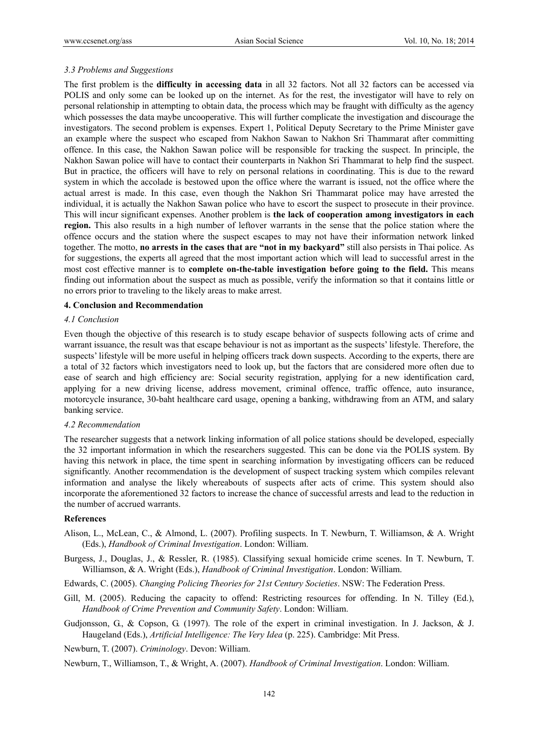#### *3.3 Problems and Suggestions*

The first problem is the **difficulty in accessing data** in all 32 factors. Not all 32 factors can be accessed via POLIS and only some can be looked up on the internet. As for the rest, the investigator will have to rely on personal relationship in attempting to obtain data, the process which may be fraught with difficulty as the agency which possesses the data maybe uncooperative. This will further complicate the investigation and discourage the investigators. The second problem is expenses. Expert 1, Political Deputy Secretary to the Prime Minister gave an example where the suspect who escaped from Nakhon Sawan to Nakhon Sri Thammarat after committing offence. In this case, the Nakhon Sawan police will be responsible for tracking the suspect. In principle, the Nakhon Sawan police will have to contact their counterparts in Nakhon Sri Thammarat to help find the suspect. But in practice, the officers will have to rely on personal relations in coordinating. This is due to the reward system in which the accolade is bestowed upon the office where the warrant is issued, not the office where the actual arrest is made. In this case, even though the Nakhon Sri Thammarat police may have arrested the individual, it is actually the Nakhon Sawan police who have to escort the suspect to prosecute in their province. This will incur significant expenses. Another problem is **the lack of cooperation among investigators in each region.** This also results in a high number of leftover warrants in the sense that the police station where the offence occurs and the station where the suspect escapes to may not have their information network linked together. The motto, **no arrests in the cases that are "not in my backyard"** still also persists in Thai police. As for suggestions, the experts all agreed that the most important action which will lead to successful arrest in the most cost effective manner is to **complete on-the-table investigation before going to the field.** This means finding out information about the suspect as much as possible, verify the information so that it contains little or no errors prior to traveling to the likely areas to make arrest.

## **4. Conclusion and Recommendation**

#### *4.1 Conclusion*

Even though the objective of this research is to study escape behavior of suspects following acts of crime and warrant issuance, the result was that escape behaviour is not as important as the suspects' lifestyle. Therefore, the suspects' lifestyle will be more useful in helping officers track down suspects. According to the experts, there are a total of 32 factors which investigators need to look up, but the factors that are considered more often due to ease of search and high efficiency are: Social security registration, applying for a new identification card, applying for a new driving license, address movement, criminal offence, traffic offence, auto insurance, motorcycle insurance, 30-baht healthcare card usage, opening a banking, withdrawing from an ATM, and salary banking service.

#### *4.2 Recommendation*

The researcher suggests that a network linking information of all police stations should be developed, especially the 32 important information in which the researchers suggested. This can be done via the POLIS system. By having this network in place, the time spent in searching information by investigating officers can be reduced significantly. Another recommendation is the development of suspect tracking system which compiles relevant information and analyse the likely whereabouts of suspects after acts of crime. This system should also incorporate the aforementioned 32 factors to increase the chance of successful arrests and lead to the reduction in the number of accrued warrants.

## **References**

- Alison, L., McLean, C., & Almond, L. (2007). Profiling suspects. In T. Newburn, T. Williamson, & A. Wright (Eds.), *Handbook of Criminal Investigation*. London: William.
- Burgess, J., Douglas, J., & Ressler, R. (1985). Classifying sexual homicide crime scenes. In T. Newburn, T. Williamson, & A. Wright (Eds.), *Handbook of Criminal Investigation*. London: William.
- Edwards, C. (2005). *Changing Policing Theories for 21st Century Societies*. NSW: The Federation Press.
- Gill, M. (2005). Reducing the capacity to offend: Restricting resources for offending. In N. Tilley (Ed.), *Handbook of Crime Prevention and Community Safety*. London: William.
- Gudjonsson, G., & Copson, G. (1997). The role of the expert in criminal investigation. In J. Jackson, & J. Haugeland (Eds.), *Artificial Intelligence: The Very Idea* (p. 225). Cambridge: Mit Press.

Newburn, T. (2007). *Criminology*. Devon: William.

Newburn, T., Williamson, T., & Wright, A. (2007). *Handbook of Criminal Investigation*. London: William.